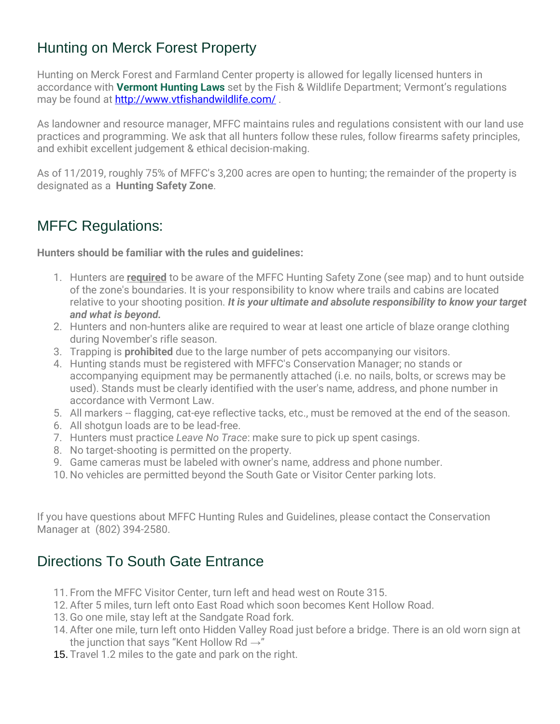## Hunting on Merck Forest Property

Hunting on Merck Forest and Farmland Center property is allowed for legally licensed hunters in accordance with **Vermont Hunting Laws** set by the Fish & Wildlife Department; Vermont's regulations may be found at<http://www.vtfishandwildlife.com/> .

As landowner and resource manager, MFFC maintains rules and regulations consistent with our land use practices and programming. We ask that all hunters follow these rules, follow firearms safety principles, and exhibit excellent judgement & ethical decision-making.

As of 11/2019, roughly 75% of MFFC's 3,200 acres are open to hunting; the remainder of the property is designated as a **Hunting Safety Zone**.

## MFFC Regulations:

**Hunters should be familiar with the rules and guidelines:**

- 1. Hunters are **required** to be aware of the MFFC Hunting Safety Zone (see map) and to hunt outside of the zone's boundaries. It is your responsibility to know where trails and cabins are located relative to your shooting position. *It is your ultimate and absolute responsibility to know your target and what is beyond.*
- 2. Hunters and non-hunters alike are required to wear at least one article of blaze orange clothing during November's rifle season.
- 3. Trapping is **prohibited** due to the large number of pets accompanying our visitors.
- 4. Hunting stands must be registered with MFFC's Conservation Manager; no stands or accompanying equipment may be permanently attached (i.e. no nails, bolts, or screws may be used). Stands must be clearly identified with the user's name, address, and phone number in accordance with Vermont Law.
- 5. All markers -- flagging, cat-eye reflective tacks, etc., must be removed at the end of the season.
- 6. All shotgun loads are to be lead-free.
- 7. Hunters must practice *Leave No Trace*: make sure to pick up spent casings.
- 8. No target-shooting is permitted on the property.
- 9. Game cameras must be labeled with owner's name, address and phone number.
- 10. No vehicles are permitted beyond the South Gate or Visitor Center parking lots.

If you have questions about MFFC Hunting Rules and Guidelines, please contact the Conservation Manager at (802) 394-2580.

## Directions To South Gate Entrance

- 11. From the MFFC Visitor Center, turn left and head west on Route 315.
- 12. After 5 miles, turn left onto East Road which soon becomes Kent Hollow Road.
- 13. Go one mile, stay left at the Sandgate Road fork.
- 14. After one mile, turn left onto Hidden Valley Road just before a bridge. There is an old worn sign at the junction that says "Kent Hollow Rd  $\rightarrow$ "
- 15. Travel 1.2 miles to the gate and park on the right.